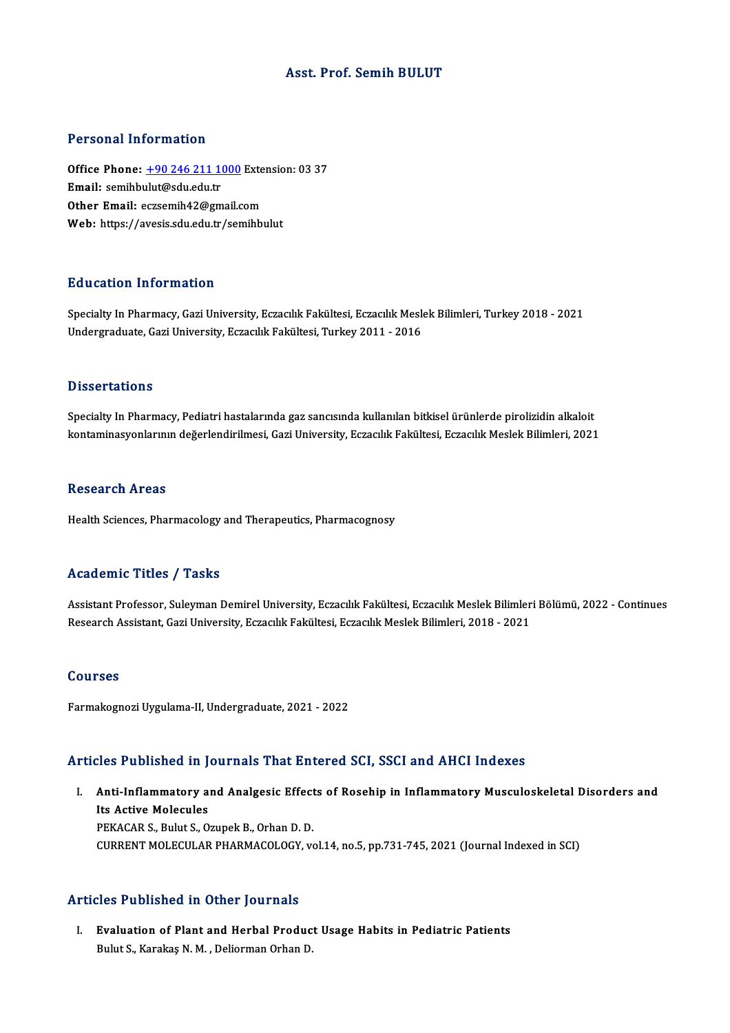# Asst. Prof. Semih BULUT

#### Personal Information

Personal Information<br>Office Phone: <u>+90 246 211 1000</u> Extension: 03 37<br>Email: semibbulut@sdu.odu.tr office Phone: <u>+90 246 211 10</u><br>Email: semihb[ulut@sdu.edu.tr](tel:+90 246 211 1000)<br>Other Email: eggesmih42@gm Office Phone: <u>+90 246 211 1000</u> Exte<br>Email: semihbulut@sdu.edu.tr<br>Other Email: eczsemih42@gmail.com Email: semihbulut@sdu.edu.tr<br>Other Email: eczsemih42@gmail.com<br>Web: https://avesis.sdu.edu.tr/semihbulut

#### Education Information

Education Information<br>Specialty In Pharmacy, Gazi University, Eczacılık Fakültesi, Eczacılık Meslek Bilimleri, Turkey 2018 - 2021<br>Undergraduate Cari University, Eczacılık Fakültesi, Turkey 2011 - 2016 2 u u su serven 1111 senderan<br>Specialty In Pharmacy, Gazi University, Eczacılık Fakültesi, Eczacılık Mesl<br>Undergraduate, Gazi University, Eczacılık Fakültesi, Turkey 2011 - 2016 Undergraduate, Gazi University, Eczacılık Fakültesi, Turkey 2011 - 2016<br>Dissertations

Specialty In Pharmacy, Pediatri hastalarında gaz sancısında kullanılan bitkisel ürünlerde pirolizidin alkaloit kontaminasyonlarının değerlendirilmesi, Gazi University, Eczacılık Fakültesi, Eczacılık Meslek Bilimleri, 2021

#### **Research Areas**

Health Sciences, Pharmacology and Therapeutics, Pharmacognosy

# Academic Titles / Tasks

Assistant Professor, Suleyman Demirel University, Eczacılık Fakültesi, Eczacılık Meslek Bilimleri Bölümü, 2022 - Continues Research Assistant, Gazi University, Eczacılık Fakültesi, Eczacılık Meslek Bilimleri, 2018 - 2021

#### Courses

Farmakognozi Uygulama-II, Undergraduate, 2021 - 2022

# Articles Published in Journals That Entered SCI, SSCI and AHCI Indexes

rticles Published in Journals That Entered SCI, SSCI and AHCI Indexes<br>I. Anti-Inflammatory and Analgesic Effects of Rosehip in Inflammatory Musculoskeletal Disorders and<br>Its Astive Melegyles Anti-Inflammatory a<br>Its Active Molecules<br>PEKACAP S. Pulut S. O Its Active Molecules<br>PEKACAR S., Bulut S., Ozupek B., Orhan D. D. CURRENT MOLECULAR PHARMACOLOGY, vol.14, no.5, pp.731-745, 2021 (Journal Indexed in SCI)

#### Articles Published in Other Journals

rticles Published in Other Journals<br>I. Evaluation of Plant and Herbal Product Usage Habits in Pediatric Patients<br>Rulyt S. Karakaa N.M., Deliarman Orban D. Evaluation of Plant and Herbal Produc<br>Bulut S., Karakaş N. M. , Deliorman Orhan D.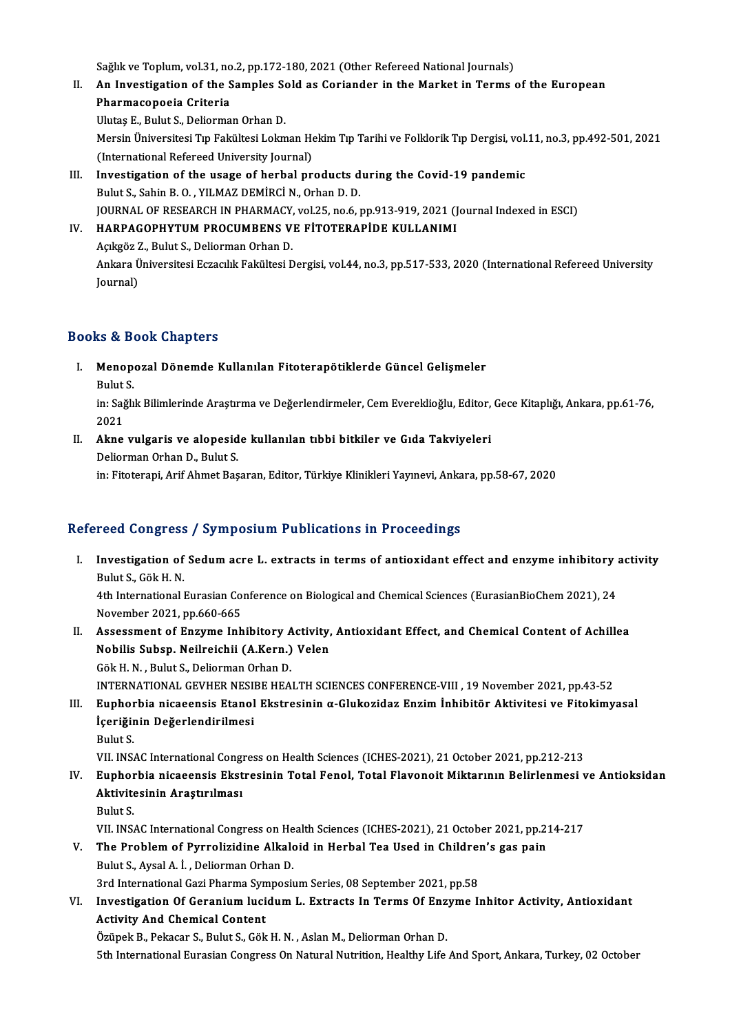Sağlık ve Toplum, vol.31, no.2, pp.172-180, 2021 (Other Refereed National Journals)<br>An Investigation of the Samples Sald as Cariandar in the Market in Torma

- II. An Investigation of the Samples Sold as Coriander in the Market in Terms of the European<br>Pharmacopoeia Criteria Sağlık ve Toplum, vol.31, no<br>An Investigation of the S<br>Pharmacopoeia Criteria<br><sup>Hluteg E. Bulut S. Doliarma</sup> Ulutaş E., Bulut S., Deliorman Orhan D. P<mark>harmacopoeia Criteria</mark><br>Ulutaş E., Bulut S., Deliorman Orhan D.<br>Mersin Üniversitesi Tıp Fakültesi Lokman Hekim Tıp Tarihi ve Folklorik Tıp Dergisi, vol.11, no.3, pp.492-501, 2021<br>(International Pefereed University Journal Ulutaş E., Bulut S., Deliorman Orhan D.<br>Mersin Üniversitesi Tıp Fakültesi Lokman He<br>(International Refereed University Journal)<br>Investigation of the usage of berbal nr. Mersin Üniversitesi Tip Fakültesi Lokman Hekim Tip Tarihi ve Folklorik Tip Dergisi, vol.<br>(International Refereed University Journal)<br>III. Investigation of the usage of herbal products during the Covid-19 pandemic<br>Pulut S.
- (International Refereed University Journal)<br>Investigation of the usage of herbal products d<br>Bulut S., Sahin B. O. , YILMAZ DEMİRCİ N., Orhan D. D.<br>JOURNAL OF RESEARCH IN RHARMACY vel 25 no 6 1 Investigation of the usage of herbal products during the Covid-19 pandemic<br>Bulut S., Sahin B. O. , YILMAZ DEMİRCİ N., Orhan D. D.<br>JOURNAL OF RESEARCH IN PHARMACY, vol.25, no.6, pp.913-919, 2021 (Journal Indexed in ESCI)<br>HA Bulut S., Sahin B. O. , YILMAZ DEMİRCİ N., Orhan D. D.<br>JOURNAL OF RESEARCH IN PHARMACY, vol.25, no.6, pp.913-919, 2021 (J<br>IV. HARPAGOPHYTUM PROCUMBENS VE FİTOTERAPİDE KULLANIMI

# JOURNAL OF RESEARCH IN PHARMACY,<br>HARPAGOPHYTUM PROCUMBENS V.<br>Açıkgöz Z., Bulut S., Deliorman Orhan D.<br>Ankara Üniversitesi Estacılık Fakültesi D. Ankara Üniversitesi Eczacılık Fakültesi Dergisi, vol.44, no.3, pp.517-533, 2020 (International Refereed University<br>Journal) Açıkgöz Z., Bulut S., Deliorman Orhan D.

# Books&Book Chapters

ooks & Book Chapters<br>I. Menopozal Dönemde Kullanılan Fitoterapötiklerde Güncel Gelişmeler<br>Rulut S Menope<br>Menope<br>Bulut S.

Menopozal Dönemde Kullanılan Fitoterapötiklerde Güncel Gelişmeler<br>Bulut S.<br>in: Sağlık Bilimlerinde Araştırma ve Değerlendirmeler, Cem Evereklioğlu, Editor, Gece Kitaplığı, Ankara, pp.61-76,<br>2021 Bulut<br>in: Sağ<br>2021 in: Sağlık Bilimlerinde Araştırma ve Değerlendirmeler, Cem Evereklioğlu, Editor,<br>2021<br>II. Akne vulgaris ve alopeside kullanılan tıbbi bitkiler ve Gıda Takviyeleri<br>Delierman Orban D. Bulut S.

2021<br>**Akne vulgaris ve alopesid**<br>Deliorman Orhan D., Bulut S.<br>in: Eitoterani, Arif Ahmet Bas Deliorman Orhan D., Bulut S.<br>in: Fitoterapi, Arif Ahmet Başaran, Editor, Türkiye Klinikleri Yayınevi, Ankara, pp.58-67, 2020

# Refereed Congress / Symposium Publications in Proceedings

- efereed Congress / Symposium Publications in Proceedings<br>I. Investigation of Sedum acre L. extracts in terms of antioxidant effect and enzyme inhibitory activity<br>Rulyt S. Gök H. N I used Gongress<br>Investigation of<br>Bulut S., Gök H. N.<br>Ath International I Investigation of Sedum acre L. extracts in terms of antioxidant effect and enzyme inhibitory<br>Bulut S., Gök H. N.<br>4th International Eurasian Conference on Biological and Chemical Sciences (EurasianBioChem 2021), 24<br>Navember Bulut S., Gök H. N.<br>4th International Eurasian Co:<br>November 2021, pp.660-665<br>Assessment of Engume Inh 4th International Eurasian Conference on Biological and Chemical Sciences (EurasianBioChem 2021), 24<br>November 2021, pp.660-665<br>II. Assessment of Enzyme Inhibitory Activity, Antioxidant Effect, and Chemical Content of Achil November 2021, pp.660-665<br>Assessment of Enzyme Inhibitory Activity,<br>Nobilis Subsp. Neilreichii (A.Kern.) Velen
- Assessment of Enzyme Inhibitory A<br>Nobilis Subsp. Neilreichii (A.Kern.)<br>Gök H. N. , Bulut S., Deliorman Orhan D.<br>INTERNATIONAL CEVUER NESIRE UEA Nobilis Subsp. Neilreichii (A.Kern.) Velen<br>Gök H. N. , Bulut S., Deliorman Orhan D.<br>INTERNATIONAL GEVHER NESIBE HEALTH SCIENCES CONFERENCE-VIII , 19 November 2021, pp.43-52 Gök H. N. , Bulut S., Deliorman Orhan D.<br>INTERNATIONAL GEVHER NESIBE HEALTH SCIENCES CONFERENCE-VIII , 19 November 2021, pp.43-52<br>III. Euphorbia nicaeensis Etanol Ekstresinin α-Glukozidaz Enzim İnhibitör Aktivitesi ve F

INTERNATIONAL GEVHER NESI<br>Euphorbia nicaeensis Etanol<br>İçeriğinin Değerlendirilmesi<br><sup>Pulut S</sup> E<mark>uphor</mark><br>İçeriğir<br>Bulut S.<br>VII. INS. İçeriğinin Değerlendirilmesi<br>Bulut S.<br>VII. INSAC International Congress on Health Sciences (ICHES-2021), 21 October 2021, pp.212-213<br>Eunharbia nisasansis Ekstresinin Total Fanal, Total Elavanait Miktarunu Balirlanmasi I

- Bulut S.<br>VII. INSAC International Congress on Health Sciences (ICHES-2021), 21 October 2021, pp.212-213<br>IV. Euphorbia nicaeensis Ekstresinin Total Fenol, Total Flavonoit Miktarının Belirlenmesi ve Antioksidan<br>Altivites VII. INSAC International Cong<br>Euphorbia nicaeensis Ekst<br>Aktivitesinin Araştırılması<br><sup>Pulut S</sup> Euphor<br>Aktivite<br>Bulut S.<br>VII. INS. Aktivitesinin Araştırılması<br>Bulut S.<br>VII. INSAC International Congress on Health Sciences (ICHES-2021), 21 October 2021, pp.214-217
	-

Bulut S.<br>V. I. INSAC International Congress on Health Sciences (ICHES-2021), 21 October 2021, pp.2:<br>V. The Problem of Pyrrolizidine Alkaloid in Herbal Tea Used in Children's gas pain<br>Pulut S. Avgal A. L. Deliarman Orban D. Bulut S., Aysal A. İ., Deliorman Orhan D. The Problem of Pyrrolizidine Alkaloid in Herbal Tea Used in Children<br>Bulut S., Aysal A. İ. , Deliorman Orhan D.<br>3rd International Gazi Pharma Symposium Series, 08 September 2021, pp.58<br>Investigation Of Coronium Jusidum J.,

3rd International Gazi Pharma Symposium Series, 08 September 2021, pp.58

VI. Investigation Of Geranium lucidum L. Extracts In Terms Of Enzyme Inhitor Activity, Antioxidant<br>Activity And Chemical Content

Özüpek B., Pekacar S., Bulut S., Gök H. N., Aslan M., Deliorman Orhan D.

5th International Eurasian Congress On Natural Nutrition, Healthy Life And Sport, Ankara, Turkey, 02 October